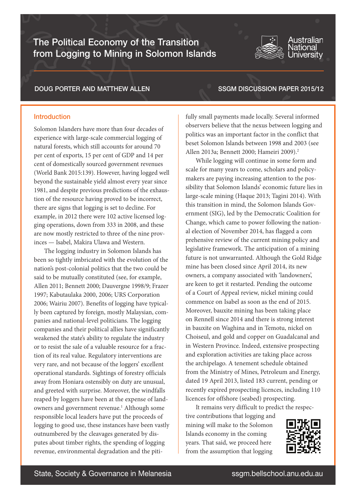The Political Economy of the Transition from Logging to Mining in Solomon Islands

### DOUG PORTER AND MATTHEW ALLEN

### SSGM DISCUSSION PAPER 2015/12

**Australian** lational Universitv

### Introduction

Solomon Islanders have more than four decades of experience with large-scale commercial logging of natural forests, which still accounts for around 70 per cent of exports, 15 per cent of GDP and 14 per cent of domestically sourced government revenues (World Bank 2015:139). However, having logged well beyond the sustainable yield almost every year since 1981, and despite previous predictions of the exhaustion of the resource having proved to be incorrect, there are signs that logging is set to decline. For example, in 2012 there were 102 active licensed logging operations, down from 333 in 2008, and these are now mostly restricted to three of the nine provinces — Isabel, Makira Ulawa and Western.

The logging industry in Solomon Islands has been so tightly imbricated with the evolution of the nation's post-colonial politics that the two could be said to be mutually constituted (see, for example, Allen 2011; Bennett 2000; Dauvergne 1998/9; Frazer 1997; Kabutaulaka 2000, 2006; URS Corporation 2006; Wairiu 2007). Benefits of logging have typically been captured by foreign, mostly Malaysian, companies and national-level politicians. The logging companies and their political allies have significantly weakened the state's ability to regulate the industry or to resist the sale of a valuable resource for a fraction of its real value. Regulatory interventions are very rare, and not because of the loggers' excellent operational standards. Sightings of forestry officials away from Honiara ostensibly on duty are unusual, and greeted with surprise. Moreover, the windfalls reaped by loggers have been at the expense of landowners and government revenue.<sup>1</sup> Although some responsible local leaders have put the proceeds of logging to good use, these instances have been vastly outnumbered by the cleavages generated by disputes about timber rights, the spending of logging revenue, environmental degradation and the pitifully small payments made locally. Several informed observers believe that the nexus between logging and politics was an important factor in the conflict that beset Solomon Islands between 1998 and 2003 (see Allen 2013a; Bennett 2000; Hameiri 2009).2

While logging will continue in some form and scale for many years to come, scholars and policymakers are paying increasing attention to the possibility that Solomon Islands' economic future lies in large-scale mining (Haque 2013; Tagini 2014). With this transition in mind, the Solomon Islands Government (SIG), led by the Democratic Coalition for Change, which came to power following the national election of November 2014, has flagged a com prehensive review of the current mining policy and legislative framework. The anticipation of a mining future is not unwarranted. Although the Gold Ridge mine has been closed since April 2014, its new owners, a company associated with 'landowners', are keen to get it restarted. Pending the outcome of a Court of Appeal review, nickel mining could commence on Isabel as soon as the end of 2015. Moreover, bauxite mining has been taking place on Rennell since 2014 and there is strong interest in bauxite on Waghina and in Temotu, nickel on Choiseul, and gold and copper on Guadalcanal and in Western Province. Indeed, extensive prospecting and exploration activities are taking place across the archipelago. A tenement schedule obtained from the Ministry of Mines, Petroleum and Energy, dated 19 April 2013, listed 183 current, pending or recently expired prospecting licences, including 110 licences for offshore (seabed) prospecting.

It remains very difficult to predict the respective contributions that logging and mining will make to the Solomon Islands economy in the coming years. That said, we proceed here from the assumption that logging

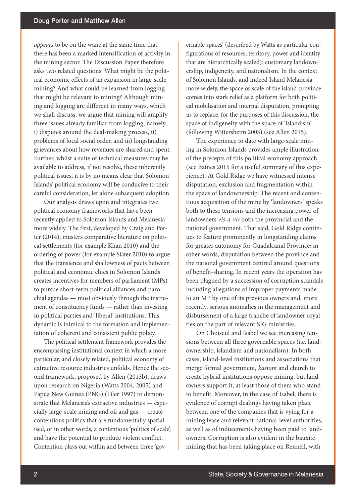*appears* to be on the wane at the same time that there has been a marked intensification of activity in the mining sector. The Discussion Paper therefore asks two related questions: What might be the political economic effects of an expansion in large-scale mining? And what could be learned from logging that might be relevant to mining? Although mining and logging are different in many ways, which we shall discuss, we argue that mining will amplify three issues already familiar from logging, namely, i) disputes around the deal-making process, ii) problems of local social order, and iii) longstanding grievances about how revenues are shared and spent. Further, whilst a suite of technical measures may be available to address, if not resolve, these inherently political issues, it is by no means clear that Solomon Islands' political economy will be conducive to their careful consideration, let alone subsequent adoption.

Our analysis draws upon and integrates two political economy frameworks that have been recently applied to Solomon Islands and Melanesia more widely. The first, developed by Craig and Porter (2014), musters comparative literature on political settlements (for example Khan 2010) and the ordering of power (for example Slater 2010) to argue that the transience and shallowness of pacts between political and economic elites in Solomon Islands creates incentives for members of parliament (MPs) to pursue short-term political alliances and parochial agendas — most obviously through the instrument of constituency funds — rather than investing in political parties and 'liberal' institutions. This dynamic is inimical to the formation and implementation of coherent and consistent public policy.

The political settlement framework provides the encompassing institutional context in which a more particular, and closely related, political economy of extractive resource industries unfolds. Hence the second framework, proposed by Allen (2013b), draws upon research on Nigeria (Watts 2004, 2005) and Papua New Guinea (PNG) (Filer 1997) to demonstrate that Melanesia's extractive industries — especially large-scale mining and oil and gas — create contentious politics that are fundamentally spatialised, or in other words, a contentious 'politics of scale', and have the potential to produce violent conflict. Contention plays out within and between three 'governable spaces' (described by Watts as particular configurations of resources, territory, power and identity that are hierarchically scaled): customary landownership, indigeneity, and nationalism. In the context of Solomon Islands, and indeed Island Melanesia more widely, the space or scale of the island-province comes into stark relief as a platform for both political mobilisation and internal disputation, prompting us to replace, for the purposes of this discussion, the space of indigeneity with the space of 'islandism' (following Wittersheim 2003) (see Allen 2015).

The experience to date with large-scale mining in Solomon Islands provides ample illustration of the precepts of this political economy approach (see Baines 2015 for a useful summary of this experience). At Gold Ridge we have witnessed intense disputation, exclusion and fragmentation within the space of landownership. The recent and contentious acquisition of the mine by 'landowners' speaks both to these tensions and the increasing power of landowners *vis-a-vis* both the provincial and the national government. That said, Gold Ridge continues to feature prominently in longstanding claims for greater autonomy for Guadalcanal Province; in other words, disputation between the province and the national government centred around questions of benefit-sharing. In recent years the operation has been plagued by a succession of corruption scandals including allegations of improper payments made to an MP by one of its previous owners and, more recently, serious anomalies in the management and disbursement of a large tranche of landowner royalties on the part of relevant SIG ministries.

On Choiseul and Isabel we see increasing tensions between all three governable spaces (i.e. landownership, islandism and nationalism). In both cases, island-level institutions and associations that merge formal government, *kastom* and church to create hybrid institutions oppose mining, but landowners support it, at least those of them who stand to benefit. Moreover, in the case of Isabel, there is evidence of corrupt dealings having taken place between one of the companies that is vying for a mining lease and relevant national-level authorities, as well as of inducements having been paid to landowners. Corruption is also evident in the bauxite mining that has been taking place on Rennell, with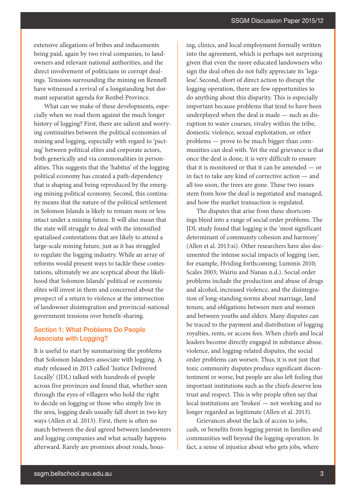extensive allegations of bribes and inducements being paid, again by two rival companies, to landowners and relevant national authorities, and the direct involvement of politicians in corrupt dealings. Tensions surrounding the mining on Rennell have witnessed a revival of a longstanding but dormant separatist agenda for Renbel Province.

What can we make of these developments, especially when we read them against the much longer history of logging? First, there are salient and worrying continuities between the political economies of mining and logging, especially with regard to 'pacting' between political elites and corporate actors, both generically and via commonalities in personalities. This suggests that the 'habitus' of the logging political economy has created a path-dependency that is shaping and being reproduced by the emerging mining political economy. Second, this continuity means that the nature of the political settlement in Solomon Islands is likely to remain more or less intact under a mining future. It will also mean that the state will struggle to deal with the intensified spatialised contestations that are likely to attend a large-scale mining future, just as it has struggled to regulate the logging industry. While an array of reforms would present ways to tackle these contestations, ultimately we are sceptical about the likelihood that Solomon Islands' political or economic elites will invest in them and concerned about the prospect of a return to violence at the intersection of landowner disintegration and provincial-national government tensions over benefit-sharing.

## Section 1: What Problems Do People Associate with Logging?

It is useful to start by summarising the problems that Solomon Islanders associate with logging. A study released in 2013 called 'Justice Delivered Locally' (JDL) talked with hundreds of people across five provinces and found that, whether seen through the eyes of villagers who hold the right to decide on logging or those who simply live in the area, logging deals usually fall short in two key ways (Allen et al. 2013). First, there is often no match between the deal agreed between landowners and logging companies and what actually happens afterward. Rarely are promises about roads, housing, clinics, and local employment formally written into the agreement, which is perhaps not surprising given that even the more educated landowners who sign the deal often do not fully appreciate its 'legalese'. Second, short of direct action to disrupt the logging operation, there are few opportunities to do anything about this disparity. This is especially important because problems that tend to have been underplayed when the deal is made — such as disruption to water courses, rivalry within the tribe, domestic violence, sexual exploitation, or other problems — prove to be much bigger than communities can deal with. Yet the real grievance is that once the deal is done, it is very difficult to ensure that it is monitored or that it can be amended — or in fact to take any kind of corrective action — and all too soon, the trees are gone. These two issues stem from how the deal is negotiated and managed, and how the market transaction is regulated.

The disputes that arise from these shortcomings bleed into a range of social order problems. The JDL study found that logging is the 'most significant determinant of community cohesion and harmony' (Allen et al. 2013:xi). Other researchers have also documented the intense social impacts of logging (see, for example, Hviding forthcoming; Lummis 2010; Scales 2003; Wairiu and Nanau n.d.). Social order problems include the production and abuse of drugs and alcohol, increased violence, and the disintegration of long-standing norms about marriage, land tenure, and obligations between men and women and between youths and elders. Many disputes can be traced to the payment and distribution of logging royalties, rents, or access fees. When chiefs and local leaders become directly engaged in substance abuse, violence, and logging-related disputes, the social order problems can worsen. Thus, it is not just that toxic community disputes produce significant discontentment or worse, but people are also left feeling that important institutions such as the chiefs deserve less trust and respect. This is why people often say that local institutions are 'broken' — not working and no longer regarded as legitimate (Allen et al. 2013).

Grievances about the lack of access to jobs, cash, or benefits from logging persist in families and communities well beyond the logging operation. In fact, a sense of injustice about who gets jobs, where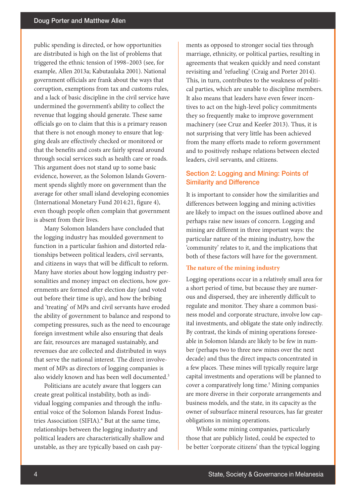public spending is directed, or how opportunities are distributed is high on the list of problems that triggered the ethnic tension of 1998–2003 (see, for example, Allen 2013a; Kabutaulaka 2001). National government officials are frank about the ways that corruption, exemptions from tax and customs rules, and a lack of basic discipline in the civil service have undermined the government's ability to collect the revenue that logging should generate. These same officials go on to claim that this is a primary reason that there is not enough money to ensure that logging deals are effectively checked or monitored or that the benefits and costs are fairly spread around through social services such as health care or roads. This argument does not stand up to some basic evidence, however, as the Solomon Islands Government spends slightly more on government than the average for other small island developing economies (International Monetary Fund 2014:21, figure 4), even though people often complain that government is absent from their lives.

Many Solomon Islanders have concluded that the logging industry has moulded government to function in a particular fashion and distorted relationships between political leaders, civil servants, and citizens in ways that will be difficult to reform. Many have stories about how logging industry personalities and money impact on elections, how governments are formed after election day (and voted out before their time is up), and how the bribing and 'treating' of MPs and civil servants have eroded the ability of government to balance and respond to competing pressures, such as the need to encourage foreign investment while also ensuring that deals are fair, resources are managed sustainably, and revenues due are collected and distributed in ways that serve the national interest. The direct involvement of MPs as directors of logging companies is also widely known and has been well documented.<sup>3</sup>

Politicians are acutely aware that loggers can create great political instability, both as individual logging companies and through the influential voice of the Solomon Islands Forest Industries Association (SIFIA).<sup>4</sup> But at the same time, relationships between the logging industry and political leaders are characteristically shallow and unstable, as they are typically based on cash payments as opposed to stronger social ties through marriage, ethnicity, or political parties, resulting in agreements that weaken quickly and need constant revisiting and 'refueling' (Craig and Porter 2014). This, in turn, contributes to the weakness of political parties, which are unable to discipline members. It also means that leaders have even fewer incentives to act on the high-level policy commitments they so frequently make to improve government machinery (see Cruz and Keefer 2013). Thus, it is not surprising that very little has been achieved from the many efforts made to reform government and to positively reshape relations between elected leaders, civil servants, and citizens.

## Section 2: Logging and Mining: Points of Similarity and Difference

It is important to consider how the similarities and differences between logging and mining activities are likely to impact on the issues outlined above and perhaps raise new issues of concern. Logging and mining are different in three important ways: the particular nature of the mining industry, how the 'community' relates to it, and the implications that both of these factors will have for the government.

#### **The nature of the mining industry**

Logging operations occur in a relatively small area for a short period of time, but because they are numerous and dispersed, they are inherently difficult to regulate and monitor. They share a common business model and corporate structure, involve low capital investments, and obligate the state only indirectly. By contrast, the kinds of mining operations foreseeable in Solomon Islands are likely to be few in number (perhaps two to three new mines over the next decade) and thus the direct impacts concentrated in a few places. These mines will typically require large capital investments and operations will be planned to cover a comparatively long time.<sup>5</sup> Mining companies are more diverse in their corporate arrangements and business models, and the state, in its capacity as the owner of subsurface mineral resources, has far greater obligations in mining operations.

While some mining companies, particularly those that are publicly listed, could be expected to be better 'corporate citizens' than the typical logging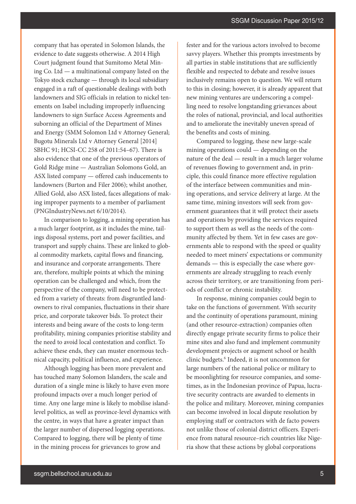company that has operated in Solomon Islands, the evidence to date suggests otherwise. A 2014 High Court judgment found that Sumitomo Metal Mining Co. Ltd — a multinational company listed on the Tokyo stock exchange — through its local subsidiary engaged in a raft of questionable dealings with both landowners and SIG officials in relation to nickel tenements on Isabel including improperly influencing landowners to sign Surface Access Agreements and suborning an official of the Department of Mines and Energy (SMM Solomon Ltd v Attorney General; Bugotu Minerals Ltd v Attorney General [2014] SBHC 91; HCSI-CC 258 of 2011:54–67). There is also evidence that one of the previous operators of Gold Ridge mine — Australian Solomons Gold, an ASX listed company — offered cash inducements to landowners (Burton and Filer 2006); whilst another, Allied Gold, also ASX listed, faces allegations of making improper payments to a member of parliament (PNGIndustryNews.net 6/10/2014).

In comparison to logging, a mining operation has a much larger footprint, as it includes the mine, tailings disposal systems, port and power facilities, and transport and supply chains. These are linked to global commodity markets, capital flows and financing, and insurance and corporate arrangements. There are, therefore, multiple points at which the mining operation can be challenged and which, from the perspective of the company, will need to be protected from a variety of threats: from disgruntled landowners to rival companies, fluctuations in their share price, and corporate takeover bids. To protect their interests and being aware of the costs to long-term profitability, mining companies prioritise stability and the need to avoid local contestation and conflict. To achieve these ends, they can muster enormous technical capacity, political influence, and experience.

Although logging has been more prevalent and has touched many Solomon Islanders, the scale and duration of a single mine is likely to have even more profound impacts over a much longer period of time. Any one large mine is likely to mobilise islandlevel politics, as well as province-level dynamics with the centre, in ways that have a greater impact than the larger number of dispersed logging operations. Compared to logging, there will be plenty of time in the mining process for grievances to grow and

fester and for the various actors involved to become savvy players. Whether this prompts investments by all parties in stable institutions that are sufficiently flexible and respected to debate and resolve issues inclusively remains open to question. We will return to this in closing; however, it is already apparent that new mining ventures are underscoring a compelling need to resolve longstanding grievances about the roles of national, provincial, and local authorities and to ameliorate the inevitably uneven spread of the benefits and costs of mining.

Compared to logging, these new large-scale mining operations could — depending on the nature of the deal — result in a much larger volume of revenues flowing to government and, in principle, this could finance more effective regulation of the interface between communities and mining operations, and service delivery at large. At the same time, mining investors will seek from government guarantees that it will protect their assets and operations by providing the services required to support them as well as the needs of the community affected by them. Yet in few cases are governments able to respond with the speed or quality needed to meet miners' expectations or community demands — this is especially the case where governments are already struggling to reach evenly across their territory, or are transitioning from periods of conflict or chronic instability.

In response, mining companies could begin to take on the functions of government. With security and the continuity of operations paramount, mining (and other resource-extraction) companies often directly engage private security firms to police their mine sites and also fund and implement community development projects or augment school or health clinic budgets.<sup>6</sup> Indeed, it is not uncommon for large numbers of the national police or military to be moonlighting for resource companies, and sometimes, as in the Indonesian province of Papua, lucrative security contracts are awarded to elements in the police and military. Moreover, mining companies can become involved in local dispute resolution by employing staff or contractors with de facto powers not unlike those of colonial district officers. Experience from natural resource–rich countries like Nigeria show that these actions by global corporations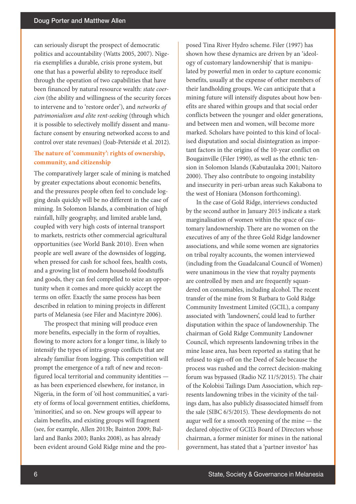can seriously disrupt the prospect of democratic politics and accountability (Watts 2005, 2007). Nigeria exemplifies a durable, crisis prone system, but one that has a powerful ability to reproduce itself through the operation of two capabilities that have been financed by natural resource wealth: *state coercion* (the ability and willingness of the security forces to intervene and to 'restore order'), and *networks of patrimonialism and elite rent-seeking* (through which it is possible to selectively mollify dissent and manufacture consent by ensuring networked access to and control over state revenues) (Joab-Peterside et al. 2012).

### **The nature of 'community': rights of ownership, community, and citizenship**

The comparatively larger scale of mining is matched by greater expectations about economic benefits, and the pressures people often feel to conclude logging deals quickly will be no different in the case of mining. In Solomon Islands, a combination of high rainfall, hilly geography, and limited arable land, coupled with very high costs of internal transport to markets, restricts other commercial agricultural opportunities (see World Bank 2010). Even when people are well aware of the downsides of logging, when pressed for cash for school fees, health costs, and a growing list of modern household foodstuffs and goods, they can feel compelled to seize an opportunity when it comes and more quickly accept the terms on offer. Exactly the same process has been described in relation to mining projects in different parts of Melanesia (see Filer and Macintyre 2006).

The prospect that mining will produce even more benefits, especially in the form of royalties, flowing to more actors for a longer time, is likely to intensify the types of intra-group conflicts that are already familiar from logging. This competition will prompt the emergence of a raft of new and reconfigured local territorial and community identities as has been experienced elsewhere, for instance, in Nigeria, in the form of 'oil host communities', a variety of forms of local government entities, chiefdoms, 'minorities', and so on. New groups will appear to claim benefits, and existing groups will fragment (see, for example, Allen 2013b; Bainton 2009; Ballard and Banks 2003; Banks 2008), as has already been evident around Gold Ridge mine and the proposed Tina River Hydro scheme. Filer (1997) has shown how these dynamics are driven by an 'ideology of customary landownership' that is manipulated by powerful men in order to capture economic benefits, usually at the expense of other members of their landholding groups. We can anticipate that a mining future will intensify disputes about how benefits are shared within groups and that social order conflicts between the younger and older generations, and between men and women, will become more marked. Scholars have pointed to this kind of localised disputation and social disintegration as important factors in the origins of the 10-year conflict on Bougainville (Filer 1990), as well as the ethnic tension in Solomon Islands (Kabutaulaka 2001; Naitoro 2000). They also contribute to ongoing instability and insecurity in peri-urban areas such Kakabona to the west of Honiara (Monson forthcoming).

In the case of Gold Ridge, interviews conducted by the second author in January 2015 indicate a stark marginalisation of women within the space of customary landownership. There are no women on the executives of any of the three Gold Ridge landowner associations, and while some women are signatories on tribal royalty accounts, the women interviewed (including from the Guadalcanal Council of Women) were unanimous in the view that royalty payments are controlled by men and are frequently squandered on consumables, including alcohol. The recent transfer of the mine from St Barbara to Gold Ridge Community Investment Limited (GCIL), a company associated with 'landowners', could lead to further disputation within the space of landownership. The chairman of Gold Ridge Community Landowner Council, which represents landowning tribes in the mine lease area, has been reported as stating that he refused to sign-off on the Deed of Sale because the process was rushed and the correct decision-making forum was bypassed (Radio NZ 11/5/2015). The chair of the Kolobisi Tailings Dam Association, which represents landowning tribes in the vicinity of the tailings dam, has also publicly disassociated himself from the sale (SIBC 6/5/2015). These developments do not augur well for a smooth reopening of the mine — the declared objective of GCIL's Board of Directors whose chairman, a former minister for mines in the national government, has stated that a 'partner investor' has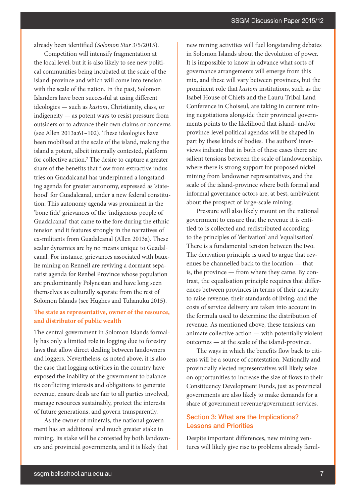already been identified (*Solomon Star* 3/5/2015).

Competition will intensify fragmentation at the local level, but it is also likely to see new political communities being incubated at the scale of the island-province and which will come into tension with the scale of the nation. In the past, Solomon Islanders have been successful at using different ideologies — such as *kastom*, Christianity, class, or indigeneity — as potent ways to resist pressure from outsiders or to advance their own claims or concerns (see Allen 2013a:61–102). These ideologies have been mobilised at the scale of the island, making the island a potent, albeit internally contested, platform for collective action.<sup>7</sup> The desire to capture a greater share of the benefits that flow from extractive industries on Guadalcanal has underpinned a longstanding agenda for greater autonomy, expressed as 'statehood' for Guadalcanal, under a new federal constitution. This autonomy agenda was prominent in the 'bone fide' grievances of the 'indigenous people of Guadalcanal' that came to the fore during the ethnic tension and it features strongly in the narratives of ex-militants from Guadalcanal (Allen 2013a). These scalar dynamics are by no means unique to Guadalcanal. For instance, grievances associated with bauxite mining on Rennell are reviving a dormant separatist agenda for Renbel Province whose population are predominantly Polynesian and have long seen themselves as culturally separate from the rest of Solomon Islands (see Hughes and Tuhanuku 2015).

### **The state as representative, owner of the resource, and distributor of public wealth**

The central government in Solomon Islands formally has only a limited role in logging due to forestry laws that allow direct dealing between landowners and loggers. Nevertheless, as noted above, it is also the case that logging activities in the country have exposed the inability of the government to balance its conflicting interests and obligations to generate revenue, ensure deals are fair to all parties involved, manage resources sustainably, protect the interests of future generations, and govern transparently.

As the owner of minerals, the national government has an additional and much greater stake in mining. Its stake will be contested by both landowners and provincial governments, and it is likely that

new mining activities will fuel longstanding debates in Solomon Islands about the devolution of power. It is impossible to know in advance what sorts of governance arrangements will emerge from this mix, and these will vary between provinces, but the prominent role that *kastom* institutions, such as the Isabel House of Chiefs and the Lauru Tribal Land Conference in Choiseul, are taking in current mining negotiations alongside their provincial governments points to the likelihood that island- and/or province-level political agendas will be shaped in part by these kinds of bodies. The authors' interviews indicate that in both of these cases there are salient tensions between the scale of landownership, where there is strong support for proposed nickel mining from landowner representatives, and the scale of the island-province where both formal and informal governance actors are, at best, ambivalent about the prospect of large-scale mining.

Pressure will also likely mount on the national government to ensure that the revenue it is entitled to is collected and redistributed according to the principles of 'derivation' and 'equalisation'. There is a fundamental tension between the two. The derivation principle is used to argue that revenues be channelled back to the location — that is, the province — from where they came. By contrast, the equalisation principle requires that differences between provinces in terms of their capacity to raise revenue, their standards of living, and the costs of service delivery are taken into account in the formula used to determine the distribution of revenue. As mentioned above, these tensions can animate collective action — with potentially violent outcomes — at the scale of the island-province.

The ways in which the benefits flow back to citizens will be a source of contestation. Nationally and provincially elected representatives will likely seize on opportunities to increase the size of flows to their Constituency Development Funds, just as provincial governments are also likely to make demands for a share of government revenue/government services.

# Section 3: What are the Implications? Lessons and Priorities

Despite important differences, new mining ventures will likely give rise to problems already famil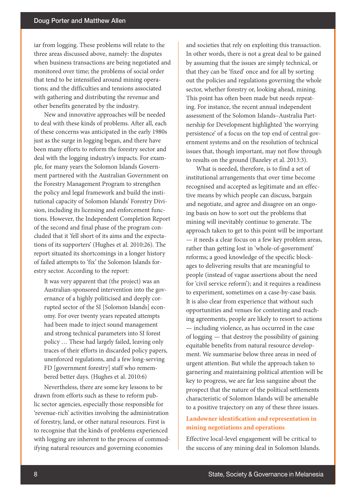iar from logging. These problems will relate to the three areas discussed above, namely: the disputes when business transactions are being negotiated and monitored over time; the problems of social order that tend to be intensified around mining operations; and the difficulties and tensions associated with gathering and distributing the revenue and other benefits generated by the industry.

New and innovative approaches will be needed to deal with these kinds of problems. After all, each of these concerns was anticipated in the early 1980s just as the surge in logging began, and there have been many efforts to reform the forestry sector and deal with the logging industry's impacts. For example, for many years the Solomon Islands Government partnered with the Australian Government on the Forestry Management Program to strengthen the policy and legal framework and build the institutional capacity of Solomon Islands' Forestry Division, including its licensing and enforcement functions. However, the Independent Completion Report of the second and final phase of the program concluded that it 'fell short of its aims and the expectations of its supporters' (Hughes et al. 2010:26). The report situated its shortcomings in a longer history of failed attempts to 'fix' the Solomon Islands forestry sector. According to the report:

It was very apparent that (the project) was an Australian-sponsored intervention into the governance of a highly politicised and deeply corrupted sector of the SI [Solomon Islands] economy. For over twenty years repeated attempts had been made to inject sound management and strong technical parameters into SI forest policy … These had largely failed, leaving only traces of their efforts in discarded policy papers, unenforced regulations, and a few long-serving FD [government forestry] staff who remembered better days. (Hughes et al. 2010:6)

Nevertheless, there are some key lessons to be drawn from efforts such as these to reform public sector agencies, especially those responsible for 'revenue-rich' activities involving the administration of forestry, land, or other natural resources. First is to recognise that the kinds of problems experienced with logging are inherent to the process of commodifying natural resources and governing economies

and societies that rely on exploiting this transaction. In other words, there is not a great deal to be gained by assuming that the issues are simply technical, or that they can be 'fixed' once and for all by sorting out the policies and regulations governing the whole sector, whether forestry or, looking ahead, mining. This point has often been made but needs repeating. For instance, the recent annual independent assessment of the Solomon Islands–Australia Partnership for Development highlighted 'the worrying persistence' of a focus on the top end of central government systems and on the resolution of technical issues that, though important, may not flow through to results on the ground (Bazeley et al. 2013:3).

What is needed, therefore, is to find a set of institutional arrangements that over time become recognised and accepted as legitimate and an effective means by which people can discuss, bargain and negotiate, and agree and disagree on an ongoing basis on how to sort out the problems that mining will inevitably continue to generate. The approach taken to get to this point will be important — it needs a clear focus on a few key problem areas, rather than getting lost in 'whole-of-government' reforms; a good knowledge of the specific blockages to delivering results that are meaningful to people (instead of vague assertions about the need for 'civil service reform'); and it requires a readiness to experiment, sometimes on a case-by-case basis. It is also clear from experience that without such opportunities and venues for contesting and reaching agreements, people are likely to resort to actions — including violence, as has occurred in the case of logging — that destroy the possibility of gaining equitable benefits from natural resource development. We summarise below three areas in need of urgent attention. But while the approach taken to garnering and maintaining political attention will be key to progress, we are far less sanguine about the prospect that the nature of the political settlements characteristic of Solomon Islands will be amenable to a positive trajectory on any of these three issues.

# **Landowner identification and representation in mining negotiations and operations**

Effective local-level engagement will be critical to the success of any mining deal in Solomon Islands.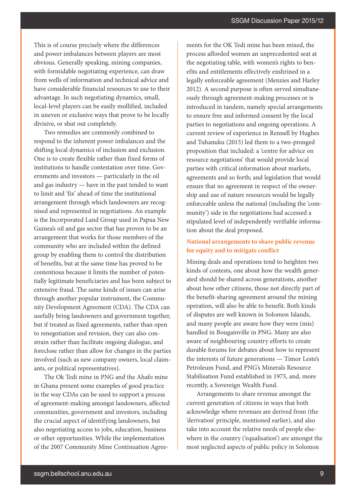This is of course precisely where the differences and power imbalances between players are most obvious. Generally speaking, mining companies, with formidable negotiating experience, can draw from wells of information and technical advice and have considerable financial resources to use to their advantage. In such negotiating dynamics, small, local-level players can be easily mollified, included in uneven or exclusive ways that prove to be locally divisive, or shut out completely.

Two remedies are commonly combined to respond to the inherent power imbalances and the shifting local dynamics of inclusion and exclusion. One is to create flexible rather than fixed forms of institutions to handle contestation over time. Governments and investors — particularly in the oil and gas industry — have in the past tended to want to limit and 'fix' ahead of time the institutional arrangement through which landowners are recognised and represented in negotiations. An example is the Incorporated Land Group used in Papua New Guinea's oil and gas sector that has proven to be an arrangement that works for those members of the community who are included within the defined group by enabling them to control the distribution of benefits, but at the same time has proved to be contentious because it limits the number of potentially legitimate beneficiaries and has been subject to extensive fraud. The same kinds of issues can arise through another popular instrument, the Community Development Agreement (CDA). The CDA can usefully bring landowners and government together, but if treated as fixed agreements, rather than open to renegotiation and revision, they can also constrain rather than facilitate ongoing dialogue, and foreclose rather than allow for changes in the parties involved (such as new company owners, local claimants, or political representatives).

The Ok Tedi mine in PNG and the Ahafo mine in Ghana present some examples of good practice in the way CDAs can be used to support a process of agreement-making amongst landowners, affected communities, government and investors, including the crucial aspect of identifying landowners, but also negotiating access to jobs, education, business or other opportunities. While the implementation of the 2007 Community Mine Continuation Agreements for the OK Tedi mine has been mixed, the process afforded women an unprecedented seat at the negotiating table, with women's rights to benefits and entitlements effectively enshrined in a legally enforceable agreement (Menzies and Harley 2012). A second purpose is often served simultaneously through agreement-making processes or is introduced in tandem, namely special arrangements to ensure free and informed consent by the local parties to negotiations and ongoing operations. A current review of experience in Rennell by Hughes and Tuhanuku (2015) led them to a two-pronged proposition that included: a 'centre for advice on resource negotiations' that would provide local parties with critical information about markets, agreements and so forth; and legislation that would ensure that no agreement in respect of the ownership and use of nature resources would be legally enforceable unless the national (including the 'community') side in the negotiations had accessed a stipulated level of independently verifiable information about the deal proposed.

## **National arrangements to share public revenue for equity and to mitigate conflict**

Mining deals and operations tend to heighten two kinds of contests, one about how the wealth generated should be shared across generations, another about how other citizens, those not directly part of the benefit-sharing agreement around the mining operation, will also be able to benefit. Both kinds of disputes are well known in Solomon Islands, and many people are aware how they were (mis) handled in Bougainville in PNG. Many are also aware of neighbouring country efforts to create durable forums for debates about how to represent the interests of future generations — Timor Leste's Petroleum Fund, and PNG's Minerals Resource Stabilisation Fund established in 1975, and, more recently, a Sovereign Wealth Fund.

Arrangements to share revenue amongst the current generation of citizens in ways that both acknowledge where revenues are derived from (the 'derivation' principle, mentioned earlier), and also take into account the relative needs of people elsewhere in the country ('equalisation') are amongst the most neglected aspects of public policy in Solomon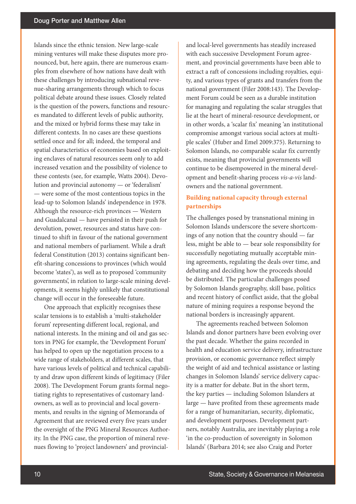Islands since the ethnic tension. New large-scale mining ventures will make these disputes more pronounced, but, here again, there are numerous examples from elsewhere of how nations have dealt with these challenges by introducing subnational revenue-sharing arrangements through which to focus political debate around these issues. Closely related is the question of the powers, functions and resources mandated to different levels of public authority, and the mixed or hybrid forms these may take in different contexts. In no cases are these questions settled once and for all; indeed, the temporal and spatial characteristics of economies based on exploiting enclaves of natural resources seem only to add increased vexation and the possibility of violence to these contests (see, for example, Watts 2004). Devolution and provincial autonomy — or 'federalism' — were some of the most contentious topics in the lead-up to Solomon Islands' independence in 1978. Although the resource-rich provinces — Western and Guadalcanal — have persisted in their push for devolution, power, resources and status have continued to shift in favour of the national government and national members of parliament. While a draft federal Constitution (2013) contains significant benefit-sharing concessions to provinces (which would become 'states'), as well as to proposed 'community governments', in relation to large-scale mining developments, it seems highly unlikely that constitutional change will occur in the foreseeable future.

One approach that explicitly recognises these scalar tensions is to establish a 'multi-stakeholder forum' representing different local, regional, and national interests. In the mining and oil and gas sectors in PNG for example, the 'Development Forum' has helped to open up the negotiation process to a wide range of stakeholders, at different scales, that have various levels of political and technical capability and draw upon different kinds of legitimacy (Filer 2008). The Development Forum grants formal negotiating rights to representatives of customary landowners, as well as to provincial and local governments, and results in the signing of Memoranda of Agreement that are reviewed every five years under the oversight of the PNG Mineral Resources Authority. In the PNG case, the proportion of mineral revenues flowing to 'project landowners' and provincialand local-level governments has steadily increased with each successive Development Forum agreement, and provincial governments have been able to extract a raft of concessions including royalties, equity, and various types of grants and transfers from the national government (Filer 2008:143). The Development Forum could be seen as a durable institution for managing and regulating the scalar struggles that lie at the heart of mineral-resource development, or in other words, a 'scalar fix' meaning 'an institutional compromise amongst various social actors at multiple scales' (Huber and Emel 2009:375). Returning to Solomon Islands, no comparable scalar fix currently exists, meaning that provincial governments will continue to be disempowered in the mineral development and benefit-sharing process *vis-a-vis* landowners and the national government.

### **Building national capacity through external partnerships**

The challenges posed by transnational mining in Solomon Islands underscore the severe shortcomings of any notion that the country should — far less, might be able to — bear sole responsibility for successfully negotiating mutually acceptable mining agreements, regulating the deals over time, and debating and deciding how the proceeds should be distributed. The particular challenges posed by Solomon Islands geography, skill base, politics and recent history of conflict aside, that the global nature of mining requires a response beyond the national borders is increasingly apparent.

The agreements reached between Solomon Islands and donor partners have been evolving over the past decade. Whether the gains recorded in health and education service delivery, infrastructure provision, or economic governance reflect simply the weight of aid and technical assistance or lasting changes in Solomon Islands' service delivery capacity is a matter for debate. But in the short term, the key parties — including Solomon Islanders at large — have profited from these agreements made for a range of humanitarian, security, diplomatic, and development purposes. Development partners, notably Australia, are inevitably playing a role 'in the co-production of sovereignty in Solomon Islands' (Barbara 2014; see also Craig and Porter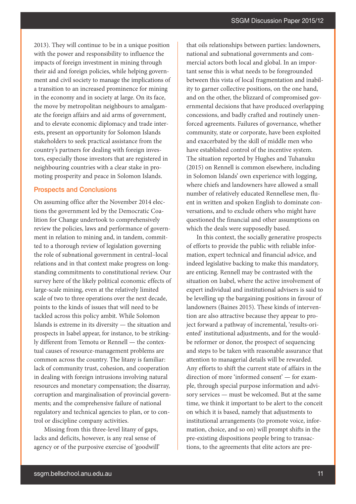2013). They will continue to be in a unique position with the power and responsibility to influence the impacts of foreign investment in mining through their aid and foreign policies, while helping government and civil society to manage the implications of a transition to an increased prominence for mining in the economy and in society at large. On its face, the move by metropolitan neighbours to amalgamate the foreign affairs and aid arms of government, and to elevate economic diplomacy and trade interests, present an opportunity for Solomon Islands stakeholders to seek practical assistance from the country's partners for dealing with foreign investors, especially those investors that are registered in neighbouring countries with a clear stake in promoting prosperity and peace in Solomon Islands.

### Prospects and Conclusions

On assuming office after the November 2014 elections the government led by the Democratic Coalition for Change undertook to comprehensively review the policies, laws and performance of government in relation to mining and, in tandem, committed to a thorough review of legislation governing the role of subnational government in central–local relations and in that context make progress on longstanding commitments to constitutional review. Our survey here of the likely political economic effects of large-scale mining, even at the relatively limited scale of two to three operations over the next decade, points to the kinds of issues that will need to be tackled across this policy ambit. While Solomon Islands is extreme in its diversity — the situation and prospects in Isabel appear, for instance, to be strikingly different from Temotu or Rennell — the contextual causes of resource-management problems are common across the country. The litany is familiar: lack of community trust, cohesion, and cooperation in dealing with foreign intrusions involving natural resources and monetary compensation; the disarray, corruption and marginalisation of provincial governments; and the comprehensive failure of national regulatory and technical agencies to plan, or to control or discipline company activities.

Missing from this three-level litany of gaps, lacks and deficits, however, is any real sense of agency or of the purposive exercise of 'goodwill' that oils relationships between parties: landowners, national and subnational governments and commercial actors both local and global. In an important sense this is what needs to be foregrounded between this vista of local fragmentation and inability to garner collective positions, on the one hand, and on the other, the blizzard of compromised governmental decisions that have produced overlapping concessions, and badly crafted and routinely unenforced agreements. Failures of governance, whether community, state or corporate, have been exploited and exacerbated by the skill of middle men who have established control of the incentive system. The situation reported by Hughes and Tuhanuku (2015) on Rennell is common elsewhere, including in Solomon Islands' own experience with logging, where chiefs and landowners have allowed a small number of relatively educated Rennellese men, fluent in written and spoken English to dominate conversations, and to exclude others who might have questioned the financial and other assumptions on which the deals were supposedly based.

In this context, the socially generative prospects of efforts to provide the public with reliable information, expert technical and financial advice, and indeed legislative backing to make this mandatory, are enticing. Rennell may be contrasted with the situation on Isabel, where the active involvement of expert individual and institutional advisers is said to be levelling up the bargaining positions in favour of landowners (Baines 2015). These kinds of intervention are also attractive because they appear to project forward a pathway of incremental, 'results-oriented' institutional adjustments, and for the wouldbe reformer or donor, the prospect of sequencing and steps to be taken with reasonable assurance that attention to managerial details will be rewarded. Any efforts to shift the current state of affairs in the direction of more 'informed consent' — for example, through special purpose information and advisory services — must be welcomed. But at the same time, we think it important to be alert to the conceit on which it is based, namely that adjustments to institutional arrangements (to promote voice, information, choice, and so on) will prompt shifts in the pre-existing dispositions people bring to transactions, to the agreements that elite actors are pre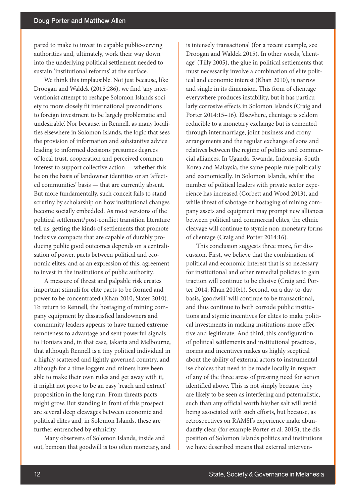pared to make to invest in capable public-serving authorities and, ultimately, work their way down into the underlying political settlement needed to sustain 'institutional reforms' at the surface.

We think this implausible. Not just because, like Droogan and Waldek (2015:286), we find 'any interventionist attempt to reshape Solomon Islands society to more closely fit international preconditions to foreign investment to be largely problematic and undesirable'. Nor because, in Rennell, as many localities elsewhere in Solomon Islands, the logic that sees the provision of information and substantive advice leading to informed decisions presumes degrees of local trust, cooperation and perceived common interest to support collective action — whether this be on the basis of landowner identities or an 'affected communities' basis — that are currently absent. But more fundamentally, such conceit fails to stand scrutiny by scholarship on how institutional changes become socially embedded. As most versions of the political settlement/post-conflict transition literature tell us, getting the kinds of settlements that promote inclusive compacts that are capable of durably producing public good outcomes depends on a centralisation of power, pacts between political and economic elites, and as an expression of this, agreement to invest in the institutions of public authority.

A measure of threat and palpable risk creates important stimuli for elite pacts to be formed and power to be concentrated (Khan 2010; Slater 2010). To return to Rennell, the hostaging of mining company equipment by dissatisfied landowners and community leaders appears to have turned extreme remoteness to advantage and sent powerful signals to Honiara and, in that case, Jakarta and Melbourne, that although Rennell is a tiny political individual in a highly scattered and lightly governed country, and although for a time loggers and miners have been able to make their own rules and get away with it, it might not prove to be an easy 'reach and extract' proposition in the long run. From threats pacts might grow. But standing in front of this prospect are several deep cleavages between economic and political elites and, in Solomon Islands, these are further entrenched by ethnicity.

Many observers of Solomon Islands, inside and out, bemoan that goodwill is too often monetary, and is intensely transactional (for a recent example, see Droogan and Waldek 2015). In other words, 'clientage' (Tilly 2005), the glue in political settlements that must necessarily involve a combination of elite political and economic interest (Khan 2010), is narrow and single in its dimension. This form of clientage everywhere produces instability, but it has particularly corrosive effects in Solomon Islands (Craig and Porter 2014:15–16). Elsewhere, clientage is seldom reducible to a monetary exchange but is cemented through intermarriage, joint business and crony arrangements and the regular exchange of sons and relatives between the regime of politics and commercial alliances. In Uganda, Rwanda, Indonesia, South Korea and Malaysia, the same people rule politically and economically. In Solomon Islands, whilst the number of political leaders with private sector experience has increased (Corbett and Wood 2013), and while threat of sabotage or hostaging of mining company assets and equipment may prompt new alliances between political and commercial elites, the ethnic cleavage will continue to stymie non-monetary forms of clientage (Craig and Porter 2014:16).

This conclusion suggests three more, for discussion. First, we believe that the combination of political and economic interest that is so necessary for institutional and other remedial policies to gain traction will continue to be elusive (Craig and Porter 2014; Khan 2010:1). Second, on a day-to-day basis, 'goodwill' will continue to be transactional, and thus continue to both corrode public institutions and stymie incentives for elites to make political investments in making institutions more effective and legitimate. And third, this configuration of political settlements and institutional practices, norms and incentives makes us highly sceptical about the ability of external actors to instrumentalise choices that need to be made locally in respect of any of the three areas of pressing need for action identified above. This is not simply because they are likely to be seen as interfering and paternalistic, such than any official worth his/her salt will avoid being associated with such efforts, but because, as retrospectives on RAMSI's experience make abundantly clear (for example Porter et al. 2015), the disposition of Solomon Islands politics and institutions we have described means that external interven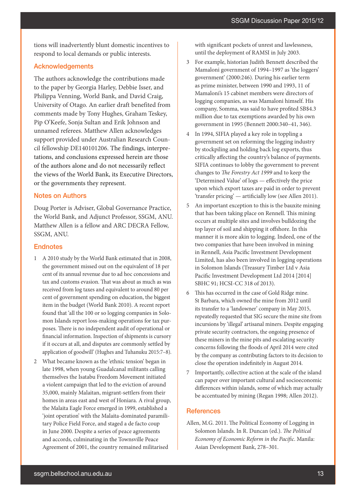tions will inadvertently blunt domestic incentives to respond to local demands or public interests.

### Acknowledgements

The authors acknowledge the contributions made to the paper by Georgia Harley, Debbie Isser, and Philippa Venning, World Bank, and David Craig, University of Otago. An earlier draft benefited from comments made by Tony Hughes, Graham Teskey, Pip O'Keefe, Sonja Sultan and Erik Johnson and unnamed referees. Matthew Allen acknowledges support provided under Australian Research Council fellowship DE140101206. The findings, interpretations, and conclusions expressed herein are those of the authors alone and do not necessarily reflect the views of the World Bank, its Executive Directors, or the governments they represent.

### Notes on Authors

Doug Porter is Adviser, Global Governance Practice, the World Bank, and Adjunct Professor, SSGM, ANU. Matthew Allen is a fellow and ARC DECRA Fellow, SSGM, ANU.

#### **Endnotes**

- 1 A 2010 study by the World Bank estimated that in 2008, the government missed out on the equivalent of 18 per cent of its annual revenue due to ad hoc concessions and tax and customs evasion. That was about as much as was received from log taxes and equivalent to around 80 per cent of government spending on education, the biggest item in the budget (World Bank 2010). A recent report found that 'all the 100 or so logging companies in Solomon Islands report loss-making operations for tax purposes. There is no independent audit of operational or financial information. Inspection of shipments is cursory if it occurs at all, and disputes are commonly settled by application of goodwill' (Hughes and Tuhanuku 2015:7–8).
- 2 What became known as the 'ethnic tension' began in late 1998, when young Guadalcanal militants calling themselves the Isatabu Freedom Movement initiated a violent campaign that led to the eviction of around 35,000, mainly Malaitan, migrant-settlers from their homes in areas east and west of Honiara. A rival group, the Malaita Eagle Force emerged in 1999, established a 'joint operation' with the Malaita-dominated paramilitary Police Field Force, and staged a de facto coup in June 2000. Despite a series of peace agreements and accords, culminating in the Townsville Peace Agreement of 2001, the country remained militarised

with significant pockets of unrest and lawlessness, until the deployment of RAMSI in July 2003.

- 3 For example, historian Judith Bennett described the Mamaloni government of 1994–1997 as 'the loggers' government' (2000:246). During his earlier term as prime minister, between 1990 and 1993, 11 of Mamaloni's 15 cabinet members were directors of logging companies, as was Mamaloni himself. His company, Somma, was said to have profited SB\$4.3 million due to tax exemptions awarded by his own government in 1995 (Bennett 2000:340–41, 346).
- 4 In 1994, SIFIA played a key role in toppling a government set on reforming the logging industry by stockpiling and holding back log exports, thus critically affecting the country's balance of payments. SIFIA continues to lobby the government to prevent changes to *The Forestry Act 1999* and to keep the 'Determined Value' of logs — effectively the price upon which export taxes are paid in order to prevent 'transfer pricing' — artificially low (see Allen 2011).
- 5 An important exception to this is the bauxite mining that has been taking place on Rennell. This mining occurs at multiple sites and involves bulldozing the top layer of soil and shipping it offshore. In this manner it is more akin to logging. Indeed, one of the two companies that have been involved in mining in Rennell, Asia Pacific Investment Development Limited, has also been involved in logging operations in Solomon Islands (Treasury Timber Ltd v Asia Pacific Investment Development Ltd 2014 [2014] SBHC 91; HCSI-CC 318 of 2013).
- 6 This has occurred in the case of Gold Ridge mine. St Barbara, which owned the mine from 2012 until its transfer to a 'landowner' company in May 2015, repeatedly requested that SIG secure the mine site from incursions by 'illegal' artisanal miners. Despite engaging private security contractors, the ongoing presence of these miners in the mine pits and escalating security concerns following the floods of April 2014 were cited by the company as contributing factors to its decision to close the operation indefinitely in August 2014.
- 7 Importantly, collective action at the scale of the island can paper over important cultural and socioeconomic differences within islands, some of which may actually be accentuated by mining (Regan 1998; Allen 2012).

### **References**

Allen, M.G. 2011. The Political Economy of Logging in Solomon Islands. In R. Duncan (ed.). *The Political Economy of Economic Reform in the Pacific*. Manila: Asian Development Bank, 278–301.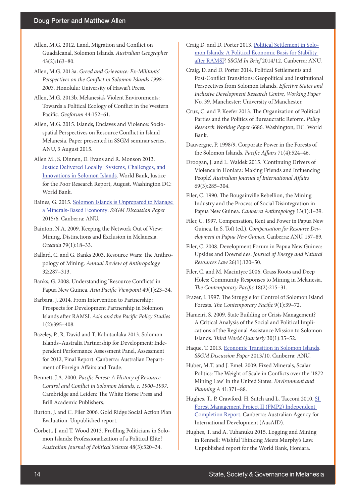- Allen, M.G. 2012. Land, Migration and Conflict on Guadalcanal, Solomon Islands. *Australian Geographer* 43(2):163–80.
- Allen, M.G. 2013a. *Greed and Grievance: Ex-Militants' Perspectives on the Conflict in Solomon Islands 1998– 2003*. Honolulu: University of Hawai'i Press.
- Allen, M.G. 2013b. Melanesia's Violent Environments: Towards a Political Ecology of Conflict in the Western Pacific. *Geoforum* 44:152–61.
- Allen, M.G. 2015. Islands, Enclaves and Violence: Sociospatial Perspectives on Resource Conflict in Island Melanesia. Paper presented in SSGM seminar series, ANU, 3 August 2015.
- Allen M., S. Dinnen, D. Evans and R. Monson 2013. [Justice Delivered Locally: Systems, Challenges, and](http://www.worldbank.org/justiceforthepoor)  [Innovations in Solomon Islands](http://www.worldbank.org/justiceforthepoor). World Bank, Justice for the Poor Research Report, August. Washington DC: World Bank.
- Baines, G. 2015. [Solomon Islands is Unprepared to Manage](http://ips.cap.anu.edu.au/publications-directory%3Ffield_department_tid=570%26field_publication_type_value=All)  [a Minerals-Based Economy](http://ips.cap.anu.edu.au/publications-directory%3Ffield_department_tid=570%26field_publication_type_value=All). *SSGM Discussion Paper* 2015/6. Canberra: ANU.
- Bainton, N.A. 2009. Keeping the Network Out of View: Mining, Distinctions and Exclusion in Melanesia. *Oceania* 79(1):18–33.
- Ballard, C. and G. Banks 2003. Resource Wars: The Anthropology of Mining. *Annual Review of Anthropology* 32:287–313.
- Banks, G. 2008. Understanding 'Resource Conflicts' in Papua New Guinea. *Asia Pacific Viewpoint* 49(1):23–34.
- Barbara, J. 2014. From Intervention to Partnership: Prospects for Development Partnership in Solomon Islands after RAMSI. *Asia and the Pacific Policy Studies* 1(2):395–408.
- Bazeley, P., R. David and T. Kabutaulaka 2013. Solomon Islands–Australia Partnership for Development: Independent Performance Assessment Panel, Assessment for 2012, Final Report. Canberra: Australian Department of Foreign Affairs and Trade.
- Bennett, J.A. 2000. *Pacific Forest: A History of Resource Control and Conflict in Solomon Islands, c. 1900–1997*. Cambridge and Leiden: The White Horse Press and Brill Academic Publishers.
- Burton, J. and C. Filer 2006. Gold Ridge Social Action Plan Evaluation. Unpublished report.
- Corbett, J. and T. Wood 2013. Profiling Politicians in Solomon Islands: Professionalization of a Political Elite? *Australian Journal of Political Science* 48(3):320–34.
- Craig D. and D. Porter 2013. [Political Settlement in Solo](http://ips.cap.anu.edu.au/publications-directory%3Ffield_department_tid=570%26field_publication_type_value=All)[mon Islands: A Political Economic Basis for Stability](http://ips.cap.anu.edu.au/publications-directory%3Ffield_department_tid=570%26field_publication_type_value=All)  [after RAMSI?](http://ips.cap.anu.edu.au/publications-directory%3Ffield_department_tid=570%26field_publication_type_value=All) *SSGM In Brief* 2014/12. Canberra: ANU.
- Craig, D. and D. Porter 2014. Political Settlements and Post-Conflict Transitions: Geopolitical and Institutional Perspectives from Solomon Islands. *Effective States and Inclusive Development Research Centre, Working Paper*  No. 39. Manchester: University of Manchester.
- Cruz, C. and P. Keefer 2013. The Organization of Political Parties and the Politics of Bureaucratic Reform. *Policy Research Working Paper* 6686. Washington, DC: World Bank.
- Dauvergne, P. 1998/9. Corporate Power in the Forests of the Solomon Islands. *Pacific Affairs* 71(4):524–46.
- Droogan, J. and L. Waldek 2015. 'Continuing Drivers of Violence in Honiara: Making Friends and Influencing People'. *Australian Journal of International Affairs* 69(3):285–304.
- Filer, C. 1990. The Bougainville Rebellion, the Mining Industry and the Process of Social Disintegration in Papua New Guinea. *Canberra Anthropology* 13(1):1–39.
- Filer, C. 1997. Compensation, Rent and Power in Papua New Guinea. In S. Toft (ed.). *Compensation for Resource Development in Papua New Guinea*. Canberra: ANU, 157–89.
- Filer, C. 2008. Development Forum in Papua New Guinea: Upsides and Downsides. *Journal of Energy and Natural Resources Law* 26(1):120–50.
- Filer, C. and M. Macintyre 2006. Grass Roots and Deep Holes: Community Responses to Mining in Melanesia. *The Contemporary Pacific* 18(2):215–31.
- Frazer, I. 1997. The Struggle for Control of Solomon Island Forests. *The Contemporary Pacific* 9(1):39–72.
- Hameiri, S. 2009. State Building or Crisis Management? A Critical Analysis of the Social and Political Implications of the Regional Assistance Mission to Solomon Islands. *Third World Quarterly* 30(1):35–52.
- Haque, T. 2013. [Economic Transition in Solomon Islands.](http://ips.cap.anu.edu.au/publications-directory%3Ffield_department_tid=570%26field_publication_type_value=All) *SSGM Discussion Paper* 2013/10. Canberra: ANU.
- Huber, M.T. and J. Emel. 2009. Fixed Minerals, Scalar Politics: The Weight of Scale in Conflicts over the '1872 Mining Law' in the United States. *Environment and Planning A* 41:371–88.
- Hughes, T., P. Crawford, H. Sutch and L. Tacconi 2010. SI [Forest Management Project II \(FMP2\) Independent](http://theredddesk.org/resources/si-forest-management-project-ii-fmp2-independent-completion-report-icr)  [Completion Report.](http://theredddesk.org/resources/si-forest-management-project-ii-fmp2-independent-completion-report-icr) Canberra: Australian Agency for International Development (AusAID).
- Hughes, T. and A. Tuhanuku 2015. Logging and Mining in Rennell: Wishful Thinking Meets Murphy's Law. Unpublished report for the World Bank, Honiara.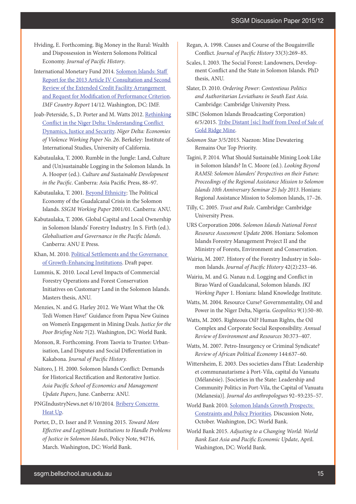- Hviding, E. Forthcoming. Big Money in the Rural: Wealth and Dispossession in Western Solomons Political Economy. *Journal of Pacific History*.
- International Monetary Fund 2014. [Solomon Islands: Staff](http://www.imf.org/external/pubs/ft/scr/2014/cr1412.pdf)  [Report for the 2013 Article IV Consultation and Second](http://www.imf.org/external/pubs/ft/scr/2014/cr1412.pdf)  [Review of the Extended Credit Facility Arrangement](http://www.imf.org/external/pubs/ft/scr/2014/cr1412.pdf)  [and Request for Modification of Performance Criterion](http://www.imf.org/external/pubs/ft/scr/2014/cr1412.pdf). *IMF Country Report* 14/12. Washington, DC: IMF.
- Joab-Peterside, S., D. Porter and M. Watts 2012. [Rethinking](http://oldweb.geog.berkeley.edu/ProjectsResources/ND%20Website/NigerDelta/WP/Watts_26.pdf) [Conflict in the Niger Delta: Understanding Conflict](http://oldweb.geog.berkeley.edu/ProjectsResources/ND%20Website/NigerDelta/WP/Watts_26.pdf)  [Dynamics, Justice and Security](http://oldweb.geog.berkeley.edu/ProjectsResources/ND%20Website/NigerDelta/WP/Watts_26.pdf). *Niger Delta: Economies of Violence Working Paper No. 26*. Berkeley: Institute of International Studies, University of California.
- Kabutaulaka, T. 2000. Rumble in the Jungle: Land, Culture and (Un)sustainable Logging in the Solomon Islands. In A. Hooper (ed.). *Culture and Sustainable Development in the Pacific*. Canberra: Asia Pacific Press, 88–97.
- Kabutaulaka, T. 2001. [Beyond Ethnicity](http://ips.cap.anu.edu.au/publications-directory%3Ffield_department_tid=570%26field_publication_type_value=All): The Political Economy of the Guadalcanal Crisis in the Solomon Islands. *SSGM Working Paper* 2001/01. Canberra: ANU.
- Kabutaulaka, T. 2006. Global Capital and Local Ownership in Solomon Islands' Forestry Industry. In S. Firth (ed.). *Globalisation and Governance in the Pacific Islands*. Canberra: ANU E Press.
- Khan, M. 2010. [Political Settlements and the Governance](http://eprints.soas.ac.uk/9968/)  [of Growth-Enhancing Institutions](http://eprints.soas.ac.uk/9968/). Draft paper.
- Lummis, K. 2010. Local Level Impacts of Commercial Forestry Operations and Forest Conservation Initiatives on Customary Land in the Solomon Islands. Masters thesis, ANU.
- Menzies, N. and G. Harley 2012. We Want What the Ok Tedi Women Have!' Guidance from Papua New Guinea on Women's Engagement in Mining Deals. *Justice for the Poor Briefing Note* 7(2). Washington, DC: World Bank.
- Monson, R. Forthcoming. From Taovia to Trustee: Urbanisation, Land Disputes and Social Differentiation in Kakabona. *Journal of Pacific History.*
- Naitoro, J. H. 2000. Solomon Islands Conflict: Demands for Historical Rectification and Restorative Justice. *Asia Pacific School of Economics and Management Update Papers*, June. Canberra: ANU.
- PNGIndustryNews.net 6/10/2014. [Bribery Concerns](http://www.pngindustrynews.net/storyview.asp?storyID=826936243§ion=Mining§ionsource=s193&aspdsc=yes)  [Heat Up.](http://www.pngindustrynews.net/storyview.asp?storyID=826936243§ion=Mining§ionsource=s193&aspdsc=yes)
- Porter, D., D. Isser and P. Venning 2015. *Toward More Effective and Legitimate Institutions to Handle Problems of Justice in Solomon Islands*, Policy Note, 94716, March. Washington, DC: World Bank.
- Regan, A. 1998. Causes and Course of the Bougainville Conflict. *Journal of Pacific History* 33(3):269–85.
- Scales, I. 2003. The Social Forest: Landowners, Development Conflict and the State in Solomon Islands. PhD thesis, ANU.
- Slater, D. 2010. *Ordering Power: Contentious Politics and Authoritarian Leviathans in South East Asia.* Cambridge: Cambridge University Press.
- SIBC (Solomon Islands Broadcasting Corporation) 6/5/2015. [Tribe Distant \[sic\] Itself from Deed of Sale of](http://www.sibconline.com.sb/tribe-distant-itself-from-deed-of-sale-of-gold-ridge-mine/)  [Gold Ridge Mine](http://www.sibconline.com.sb/tribe-distant-itself-from-deed-of-sale-of-gold-ridge-mine/).
- *Solomon Star* 3/5/2015. Naezon: Mine Dewatering Remains Our Top Priority.
- Tagini, P. 2014. What Should Sustainable Mining Look Like in Solomon Islands? In C. Moore (ed.). *Looking Beyond RAMSI: Solomon Islanders' Perspectives on their Future: Proceedings of the Regional Assistance Mission to Solomon Islands 10th Anniversary Seminar 25 July 2013*. Honiara: Regional Assistance Mission to Solomon Islands, 17–26.
- Tilly, C. 2005. *Trust and Rule*. Cambridge: Cambridge University Press.
- URS Corporation 2006. *Solomon Islands National Forest Resource Assessment Update 2006*. Honiara: Solomon Islands Forestry Management Project II and the Ministry of Forests, Environment and Conservation.
- Wairiu, M. 2007. History of the Forestry Industry in Solomon Islands. *Journal of Pacific History* 42(2):233–46.
- Wairiu, M. and G. Nanau n.d. Logging and Conflict in Birao Ward of Guadalcanal, Solomon Islands. *IKI Working Paper* 1. Honiara: Island Knowledge Institute.
- Watts, M. 2004. Resource Curse? Governmentality, Oil and Power in the Niger Delta, Nigeria. *Geopolitics* 9(1):50–80.
- Watts, M. 2005. Righteous Oil? Human Rights, the Oil Complex and Corporate Social Responsibility. *Annual Review of Environment and Resources* 30:373–407.
- Watts, M. 2007. Petro-Insurgency or Criminal Syndicate? *Review of African Political Economy* 144:637–60.
- Wittersheim, E. 2003. Des societies dans l'État: Leadership et communautarisme à Port-Vila, capital du Vanuatu (Mélanésie). [Societies in the State: Leadership and Community Politics in Port-Vila, the Capital of Vanuatu (Melanesia)]. *Journal des anthropologues* 92–93:235–57.
- World Bank 2010. [Solomon Islands Growth Prospects:](http://siteresources.worldbank.org/INTPACIFICISLANDS/Resources/SourcesofGrowthSummary.pdf)  [Constraints and Policy Priorities](http://siteresources.worldbank.org/INTPACIFICISLANDS/Resources/SourcesofGrowthSummary.pdf). Discussion Note, October. Washington, DC: World Bank.
- World Bank 2015. *Adjusting to a Changing World: World Bank East Asia and Pacific Economic Update*, April. Washington, DC: World Bank.